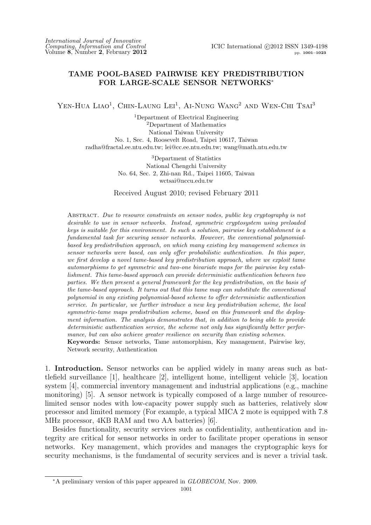# **TAME POOL-BASED PAIRWISE KEY PREDISTRIBUTION FOR LARGE-SCALE SENSOR NETWORKS***<sup>∗</sup>*

YEN-HUA LIAO<sup>1</sup>, CHIN-LAUNG LEI<sup>1</sup>, AI-NUNG WANG<sup>2</sup> AND WEN-CHI TSAI<sup>3</sup>

<sup>1</sup>Department of Electrical Engineering <sup>2</sup>Department of Mathematics National Taiwan University No. 1, Sec. 4, Roosevelt Road, Taipei 10617, Taiwan radha@fractal.ee.ntu.edu.tw; lei@cc.ee.ntu.edu.tw; wang@math.ntu.edu.tw

> <sup>3</sup>Department of Statistics National Chengchi University No. 64, Sec. 2, Zhi-nan Rd., Taipei 11605, Taiwan wctsai@nccu.edu.tw

Received August 2010; revised February 2011

Abstract. *Due to resource constraints on sensor nodes, public key cryptography is not desirable to use in sensor networks. Instead, symmetric cryptosystem using preloaded keys is suitable for this environment. In such a solution, pairwise key establishment is a fundamental task for securing sensor networks. However, the conventional polynomialbased key predistribution approach, on which many existing key management schemes in sensor networks were based, can only offer probabilistic authentication. In this paper, we first develop a novel tame-based key predistribution approach, where we exploit tame automorphisms to get symmetric and two-one bivariate maps for the pairwise key establishment. This tame-based approach can provide deterministic authentication between two parties. We then present a general framework for the key predistribution, on the basis of the tame-based approach. It turns out that this tame map can substitute the conventional polynomial in any existing polynomial-based scheme to offer deterministic authentication service. In particular, we further introduce a new key predistribution scheme, the local symmetric-tame maps predistribution scheme, based on this framework and the deployment information. The analysis demonstrates that, in addition to being able to provide deterministic authentication service, the scheme not only has significantly better performance, but can also achieve greater resilience on security than existing schemes.* **Keywords:** Sensor networks, Tame automorphism, Key management, Pairwise key, Network security, Authentication

1. **Introduction.** Sensor networks can be applied widely in many areas such as battlefield surveillance [1], healthcare [2], intelligent home, intelligent vehicle [3], location system [4], commercial inventory management and industrial applications (e.g., machine monitoring) [5]. A sensor network is typically composed of a large number of resourcelimited sensor nodes with low-capacity power supply such as batteries, relatively slow processor and limited memory (For example, a typical MICA 2 mote is equipped with 7.8 MHz processor, 4KB RAM and two AA batteries) [6].

Besides functionality, security services such as confidentiality, authentication and integrity are critical for sensor networks in order to facilitate proper operations in sensor networks. Key management, which provides and manages the cryptographic keys for security mechanisms, is the fundamental of security services and is never a trivial task.

*<sup>∗</sup>*A preliminary version of this paper appeared in *GLOBECOM*, Nov. 2009.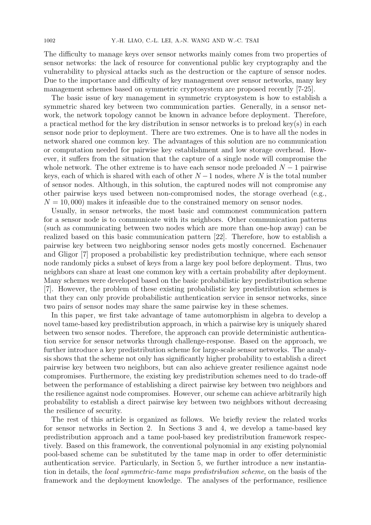The difficulty to manage keys over sensor networks mainly comes from two properties of sensor networks: the lack of resource for conventional public key cryptography and the vulnerability to physical attacks such as the destruction or the capture of sensor nodes. Due to the importance and difficulty of key management over sensor networks, many key management schemes based on symmetric cryptosystem are proposed recently [7-25].

The basic issue of key management in symmetric cryptosystem is how to establish a symmetric shared key between two communication parties. Generally, in a sensor network, the network topology cannot be known in advance before deployment. Therefore, a practical method for the key distribution in sensor networks is to preload key(s) in each sensor node prior to deployment. There are two extremes. One is to have all the nodes in network shared one common key. The advantages of this solution are no communication or computation needed for pairwise key establishment and low storage overhead. However, it suffers from the situation that the capture of a single node will compromise the whole network. The other extreme is to have each sensor node preloaded *N −* 1 pairwise keys, each of which is shared with each of other *N −*1 nodes, where *N* is the total number of sensor nodes. Although, in this solution, the captured nodes will not compromise any other pairwise keys used between non-compromised nodes, the storage overhead (e.g.,  $N = 10,000$  makes it infeasible due to the constrained memory on sensor nodes.

Usually, in sensor networks, the most basic and commonest communication pattern for a sensor node is to communicate with its neighbors. Other communication patterns (such as communicating between two nodes which are more than one-hop away) can be realized based on this basic communication pattern [22]. Therefore, how to establish a pairwise key between two neighboring sensor nodes gets mostly concerned. Eschenauer and Gligor [7] proposed a probabilistic key predistribution technique, where each sensor node randomly picks a subset of keys from a large key pool before deployment. Thus, two neighbors can share at least one common key with a certain probability after deployment. Many schemes were developed based on the basic probabilistic key predistribution scheme [7]. However, the problem of these existing probabilistic key predistribution schemes is that they can only provide probabilistic authentication service in sensor networks, since two pairs of sensor nodes may share the same pairwise key in these schemes.

In this paper, we first take advantage of tame automorphism in algebra to develop a novel tame-based key predistribution approach, in which a pairwise key is uniquely shared between two sensor nodes. Therefore, the approach can provide deterministic authentication service for sensor networks through challenge-response. Based on the approach, we further introduce a key predistribution scheme for large-scale sensor networks. The analysis shows that the scheme not only has significantly higher probability to establish a direct pairwise key between two neighbors, but can also achieve greater resilience against node compromises. Furthermore, the existing key predistribution schemes need to do trade-off between the performance of establishing a direct pairwise key between two neighbors and the resilience against node compromises. However, our scheme can achieve arbitrarily high probability to establish a direct pairwise key between two neighbors without decreasing the resilience of security.

The rest of this article is organized as follows. We briefly review the related works for sensor networks in Section 2. In Sections 3 and 4, we develop a tame-based key predistribution approach and a tame pool-based key predistribution framework respectively. Based on this framework, the conventional polynomial in any existing polynomial pool-based scheme can be substituted by the tame map in order to offer deterministic authentication service. Particularly, in Section 5, we further introduce a new instantiation in details, the *local symmetric-tame maps predistribution scheme*, on the basis of the framework and the deployment knowledge. The analyses of the performance, resilience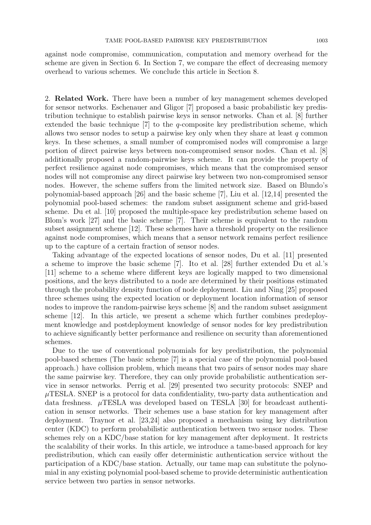against node compromise, communication, computation and memory overhead for the scheme are given in Section 6. In Section 7, we compare the effect of decreasing memory overhead to various schemes. We conclude this article in Section 8.

2. **Related Work.** There have been a number of key management schemes developed for sensor networks. Eschenauer and Gligor [7] proposed a basic probabilistic key predistribution technique to establish pairwise keys in sensor networks. Chan et al. [8] further extended the basic technique [7] to the *q*-composite key predistribution scheme, which allows two sensor nodes to setup a pairwise key only when they share at least *q* common keys. In these schemes, a small number of compromised nodes will compromise a large portion of direct pairwise keys between non-compromised sensor nodes. Chan et al. [8] additionally proposed a random-pairwise keys scheme. It can provide the property of perfect resilience against node compromises, which means that the compromised sensor nodes will not compromise any direct pairwise key between two non-compromised sensor nodes. However, the scheme suffers from the limited network size. Based on Blundo's polynomial-based approach [26] and the basic scheme [7], Liu et al. [12,14] presented the polynomial pool-based schemes: the random subset assignment scheme and grid-based scheme. Du et al. [10] proposed the multiple-space key predistribution scheme based on Blom's work [27] and the basic scheme [7]. Their scheme is equivalent to the random subset assignment scheme [12]. These schemes have a threshold property on the resilience against node compromises, which means that a sensor network remains perfect resilience up to the capture of a certain fraction of sensor nodes.

Taking advantage of the expected locations of sensor nodes, Du et al. [11] presented a scheme to improve the basic scheme [7]. Ito et al. [28] further extended Du et al.'s [11] scheme to a scheme where different keys are logically mapped to two dimensional positions, and the keys distributed to a node are determined by their positions estimated through the probability density function of node deployment. Liu and Ning [25] proposed three schemes using the expected location or deployment location information of sensor nodes to improve the random-pairwise keys scheme [8] and the random subset assignment scheme [12]. In this article, we present a scheme which further combines predeployment knowledge and postdeployment knowledge of sensor nodes for key predistribution to achieve significantly better performance and resilience on security than aforementioned schemes.

Due to the use of conventional polynomials for key predistribution, the polynomial pool-based schemes (The basic scheme [7] is a special case of the polynomial pool-based approach.) have collision problem, which means that two pairs of sensor nodes may share the same pairwise key. Therefore, they can only provide probabilistic authentication service in sensor networks. Perrig et al. [29] presented two security protocols: SNEP and *µ*TESLA. SNEP is a protocol for data confidentiality, two-party data authentication and data freshness. *µ*TESLA was developed based on TESLA [30] for broadcast authentication in sensor networks. Their schemes use a base station for key management after deployment. Traynor et al. [23,24] also proposed a mechanism using key distribution center (KDC) to perform probabilistic authentication between two sensor nodes. These schemes rely on a KDC/base station for key management after deployment. It restricts the scalability of their works. In this article, we introduce a tame-based approach for key predistribution, which can easily offer deterministic authentication service without the participation of a KDC/base station. Actually, our tame map can substitute the polynomial in any existing polynomial pool-based scheme to provide deterministic authentication service between two parties in sensor networks.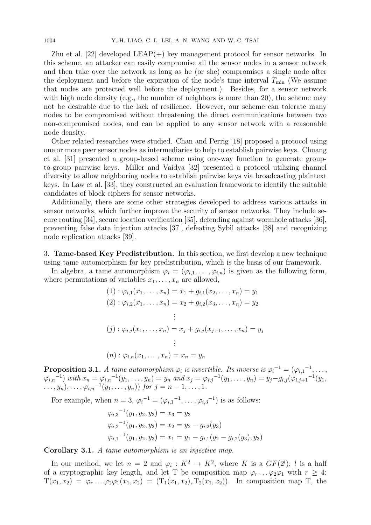Zhu et al. [22] developed  $LEAP(+)$  key management protocol for sensor networks. In this scheme, an attacker can easily compromise all the sensor nodes in a sensor network and then take over the network as long as he (or she) compromises a single node after the deployment and before the expiration of the node's time interval  $T_{\text{min}}$  (We assume that nodes are protected well before the deployment.). Besides, for a sensor network with high node density (e.g., the number of neighbors is more than 20), the scheme may not be desirable due to the lack of resilience. However, our scheme can tolerate many nodes to be compromised without threatening the direct communications between two non-compromised nodes, and can be applied to any sensor network with a reasonable node density.

Other related researches were studied. Chan and Perrig [18] proposed a protocol using one or more peer sensor nodes as intermediaries to help to establish pairwise keys. Chuang et al. [31] presented a group-based scheme using one-way function to generate groupto-group pairwise keys. Miller and Vaidya [32] presented a protocol utilizing channel diversity to allow neighboring nodes to establish pairwise keys via broadcasting plaintext keys. In Law et al. [33], they constructed an evaluation framework to identify the suitable candidates of block ciphers for sensor networks.

Additionally, there are some other strategies developed to address various attacks in sensor networks, which further improve the security of sensor networks. They include secure routing [34], secure location verification [35], defending against wormhole attacks [36], preventing false data injection attacks [37], defeating Sybil attacks [38] and recognizing node replication attacks [39].

3. **Tame-based Key Predistribution.** In this section, we first develop a new technique using tame automorphism for key predistribution, which is the basis of our framework.

In algebra, a tame automorphism  $\varphi_i = (\varphi_{i,1}, \ldots, \varphi_{i,n})$  is given as the following form, where permutations of variables  $x_1, \ldots, x_n$  are allowed,

$$
(1) : \varphi_{i,1}(x_1, \dots, x_n) = x_1 + g_{i,1}(x_2, \dots, x_n) = y_1
$$
  
\n
$$
(2) : \varphi_{i,2}(x_1, \dots, x_n) = x_2 + g_{i,2}(x_3, \dots, x_n) = y_2
$$
  
\n
$$
\vdots
$$
  
\n
$$
(j) : \varphi_{i,j}(x_1, \dots, x_n) = x_j + g_{i,j}(x_{j+1}, \dots, x_n) = y_j
$$
  
\n
$$
\vdots
$$
  
\n
$$
(n) : \varphi_{i,n}(x_1, \dots, x_n) = x_n = y_n
$$

**Proposition 3.1.** *A tame automorphism*  $\varphi_i$  *is invertible. Its inverse is*  $\varphi_i^{-1} = (\varphi_{i,1}^{-1}, \ldots, \varphi_{i,1}^{-1})$  $\varphi_{i,n}^{-1}$  with  $x_n = \varphi_{i,n}^{-1}(y_1, \ldots, y_n) = y_n$  and  $x_j = \varphi_{i,j}^{-1}(y_1, \ldots, y_n) = y_j - g_{i,j}(\varphi_{i,j+1}^{-1}(y_1, \ldots, y_n))$  *<i>for*  $j = n - 1, \ldots, 1$ .

For example, when  $n = 3$ ,  $\varphi_i^{-1} = (\varphi_{i,1}^{-1}, \dots, \varphi_{i,3}^{-1})$  is as follows:

$$
\varphi_{i,3}^{-1}(y_1, y_2, y_3) = x_3 = y_3
$$
  

$$
\varphi_{i,2}^{-1}(y_1, y_2, y_3) = x_2 = y_2 - g_{i,2}(y_3)
$$
  

$$
\varphi_{i,1}^{-1}(y_1, y_2, y_3) = x_1 = y_1 - g_{i,1}(y_2 - g_{i,2}(y_3), y_3)
$$

**Corollary 3.1.** *A tame automorphism is an injective map.*

In our method, we let  $n = 2$  and  $\varphi_i : K^2 \to K^2$ , where *K* is a *GF*(2<sup>*l*</sup>); *l* is a half of a cryptographic key length, and let T be composition map  $\varphi_r \dots \varphi_2 \varphi_1$  with  $r \geq 4$ :  $T(x_1, x_2) = \varphi_r \dots \varphi_2 \varphi_1(x_1, x_2) = (T_1(x_1, x_2), T_2(x_1, x_2))$ . In composition map T, the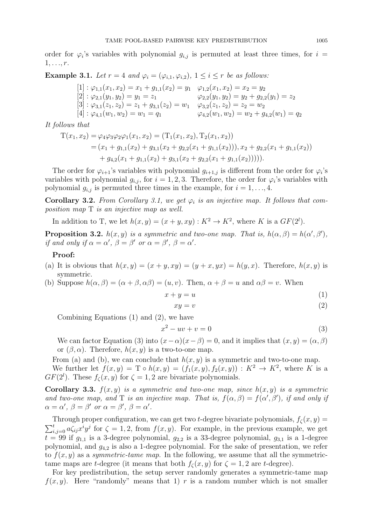order for  $\varphi_i$ 's variables with polynomial  $g_{i,j}$  is permuted at least three times, for  $i =$ 1*, . . ., r*.

**Example 3.1.** *Let*  $r = 4$  *and*  $\varphi_i = (\varphi_{i,1}, \varphi_{i,2}), 1 \leq i \leq r$  *be as follows:* 

$$
[1]: \varphi_{1,1}(x_1, x_2) = x_1 + g_{1,1}(x_2) = y_1 \quad \varphi_{1,2}(x_1, x_2) = x_2 = y_2
$$
  
\n
$$
[2]: \varphi_{2,1}(y_1, y_2) = y_1 = z_1 \qquad \varphi_{2,2}(y_1, y_2) = y_2 + g_{2,2}(y_1) = z_2
$$
  
\n
$$
[3]: \varphi_{3,1}(z_1, z_2) = z_1 + g_{3,1}(z_2) = w_1 \qquad \varphi_{3,2}(z_1, z_2) = z_2 = w_2
$$
  
\n
$$
[4]: \varphi_{4,1}(w_1, w_2) = w_1 = q_1 \qquad \varphi_{4,2}(w_1, w_2) = w_2 + g_{4,2}(w_1) = q_2
$$

*It follows that*

$$
T(x_1, x_2) = \varphi_4 \varphi_3 \varphi_2 \varphi_1(x_1, x_2) = (T_1(x_1, x_2), T_2(x_1, x_2))
$$
  
=  $(x_1 + g_{1,1}(x_2) + g_{3,1}(x_2 + g_{2,2}(x_1 + g_{1,1}(x_2))), x_2 + g_{2,2}(x_1 + g_{1,1}(x_2))$   
+  $g_{4,2}(x_1 + g_{1,1}(x_2) + g_{3,1}(x_2 + g_{2,2}(x_1 + g_{1,1}(x_2))))).$ 

The order for  $\varphi_{i+1}$ 's variables with polynomial  $g_{i+1,j}$  is different from the order for  $\varphi_i$ 's variables with polynomial  $g_{i,j}$ , for  $i = 1, 2, 3$ . Therefore, the order for  $\varphi_i$ 's variables with polynomial  $g_{i,j}$  is permuted three times in the example, for  $i = 1, \ldots, 4$ .

**Corollary 3.2.** *From Corollary 3.1, we get*  $\varphi_i$  *is an injective map. It follows that composition map* T *is an injective map as well.*

In addition to T, we let  $h(x, y) = (x + y, xy) : K^2 \to K^2$ , where *K* is a  $GF(2^l)$ .

**Proposition 3.2.** *h*(*x, y*) *is a symmetric and two-one map. That is,*  $h(\alpha, \beta) = h(\alpha', \beta')$ , *if* and only if  $\alpha = \alpha'$ ,  $\beta = \beta'$  or  $\alpha = \beta'$ ,  $\beta = \alpha'$ .

# **Proof:**

- (a) It is obvious that  $h(x, y) = (x + y, xy) = (y + x, yx) = h(y, x)$ . Therefore,  $h(x, y)$  is symmetric.
- (b) Suppose  $h(\alpha, \beta) = (\alpha + \beta, \alpha\beta) = (u, v)$ . Then,  $\alpha + \beta = u$  and  $\alpha\beta = v$ . When

$$
x + y = u \tag{1}
$$

$$
xy = v \tag{2}
$$

Combining Equations (1) and (2), we have

$$
x^2 - uv + v = 0 \tag{3}
$$

We can factor Equation (3) into  $(x - \alpha)(x - \beta) = 0$ , and it implies that  $(x, y) = (\alpha, \beta)$ or  $(\beta, \alpha)$ . Therefore,  $h(x, y)$  is a two-to-one map.

From (a) and (b), we can conclude that  $h(x, y)$  is a symmetric and two-to-one map. We further let  $f(x, y) = \mathcal{T} \circ h(x, y) = (f_1(x, y), f_2(x, y)) : K^2 \to K^2$ , where *K* is a *GF*( $2^l$ ). These  $f_\zeta(x, y)$  for  $\zeta = 1, 2$  are bivariate polynomials.

**Corollary 3.3.**  $f(x, y)$  *is a symmetric and two-one map, since*  $h(x, y)$  *is a symmetric and two-one map, and* T *is an injective map. That is,*  $f(\alpha, \beta) = f(\alpha', \beta')$ *, if and only if*  $\alpha = \alpha'$ ,  $\beta = \beta'$  or  $\alpha = \beta'$ ,  $\beta = \alpha'$ .

 $\sum_{i,j=0}^{t} a \zeta_{ij} x^i y^j$  for  $\zeta = 1, 2$ , from  $f(x, y)$ . For example, in the previous example, we get Through proper configuration, we can get two *t*-degree bivariate polynomials,  $f_\zeta(x, y) =$  $t = 99$  if  $g_{1,1}$  is a 3-degree polynomial,  $g_{2,2}$  is a 33-degree polynomial,  $g_{3,1}$  is a 1-degree polynomial, and *g*4*,*<sup>2</sup> is also a 1-degree polynomial. For the sake of presentation, we refer to  $f(x, y)$  as a *symmetric-tame map*. In the following, we assume that all the symmetrictame maps are *t*-degree (it means that both  $f_\zeta(x, y)$  for  $\zeta = 1, 2$  are *t*-degree).

For key predistribution, the setup server randomly generates a symmetric-tame map  $f(x, y)$ . Here "randomly" means that 1) *r* is a random number which is not smaller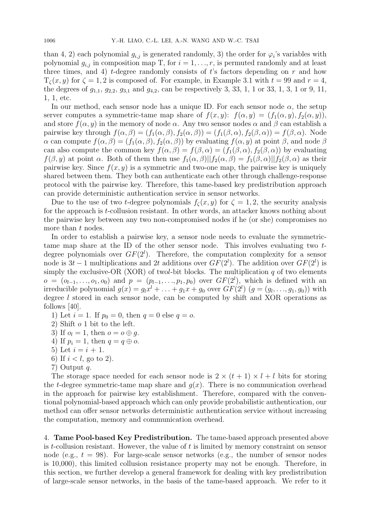than 4, 2) each polynomial  $g_{i,j}$  is generated randomly, 3) the order for  $\varphi_i$ 's variables with polynomial  $g_{i,j}$  in composition map T, for  $i = 1, \ldots, r$ , is permuted randomly and at least three times, and 4) *t*-degree randomly consists of *t*'s factors depending on *r* and how  $T_\zeta(x, y)$  for  $\zeta = 1, 2$  is composed of. For example, in Example 3.1 with  $t = 99$  and  $r = 4$ , the degrees of  $g_{1,1}$ ,  $g_{2,2}$ ,  $g_{3,1}$  and  $g_{4,2}$ , can be respectively 3, 33, 1, 1 or 33, 1, 3, 1 or 9, 11, 1, 1, etc.

In our method, each sensor node has a unique ID. For each sensor node *α*, the setup server computes a symmetric-tame map share of  $f(x, y)$ :  $f(\alpha, y) = (f_1(\alpha, y), f_2(\alpha, y))$ , and store  $f(\alpha, y)$  in the memory of node  $\alpha$ . Any two sensor nodes  $\alpha$  and  $\beta$  can establish a pairwise key through  $f(\alpha, \beta) = (f_1(\alpha, \beta), f_2(\alpha, \beta)) = (f_1(\beta, \alpha), f_2(\beta, \alpha)) = f(\beta, \alpha)$ . Node  $\alpha$  can compute  $f(\alpha, \beta) = (f_1(\alpha, \beta), f_2(\alpha, \beta))$  by evaluating  $f(\alpha, y)$  at point  $\beta$ , and node  $\beta$ can also compute the common key  $f(\alpha, \beta) = f(\beta, \alpha) = (f_1(\beta, \alpha), f_2(\beta, \alpha))$  by evaluating *f*(*β, y*) at point *α*. Both of them then use  $f_1(\alpha, \beta) || f_2(\alpha, \beta) = f_1(\beta, \alpha) || f_2(\beta, \alpha)$  as their pairwise key. Since  $f(x, y)$  is a symmetric and two-one map, the pairwise key is uniquely shared between them. They both can authenticate each other through challenge-response protocol with the pairwise key. Therefore, this tame-based key predistribution approach can provide deterministic authentication service in sensor networks.

Due to the use of two *t*-degree polynomials  $f_\zeta(x, y)$  for  $\zeta = 1, 2$ , the security analysis for the approach is *t*-collusion resistant. In other words, an attacker knows nothing about the pairwise key between any two non-compromised nodes if he (or she) compromises no more than *t* nodes.

In order to establish a pairwise key, a sensor node needs to evaluate the symmetrictame map share at the ID of the other sensor node. This involves evaluating two *t*degree polynomials over  $GF(2^l)$ . Therefore, the computation complexity for a sensor node is  $3t - 1$  multiplications and 2t additions over  $GF(2^l)$ . The addition over  $GF(2^l)$  is simply the exclusive-OR (XOR) of two*l*-bit blocks. The multiplication *q* of two elements  $o = (o_{l-1}, \ldots, o_1, o_0)$  and  $p = (p_{l-1}, \ldots, p_1, p_0)$  over  $GF(2^l)$ , which is defined with an irreducible polynomial  $g(x) = g_l x^l + \ldots + g_1 x + g_0$  over  $GF(2^l)$   $(g = (g_l, \ldots, g_1, g_0))$  with degree *l* stored in each sensor node, can be computed by shift and XOR operations as follows [40].

- 1) Let  $i = 1$ . If  $p_0 = 0$ , then  $q = 0$  else  $q = 0$ .
- 2) Shift *o* 1 bit to the left.
- 3) If  $o_l = 1$ , then  $o = o \oplus g$ .
- 4) If  $p_i = 1$ , then  $q = q \oplus o$ .
- 5) Let  $i = i + 1$ .
- 6) If  $i < l$ , go to 2).
- 7) Output *q*.

The storage space needed for each sensor node is  $2 \times (t+1) \times l + l$  bits for storing the *t*-degree symmetric-tame map share and  $g(x)$ . There is no communication overhead in the approach for pairwise key establishment. Therefore, compared with the conventional polynomial-based approach which can only provide probabilistic authentication, our method can offer sensor networks deterministic authentication service without increasing the computation, memory and communication overhead.

4. **Tame Pool-based Key Predistribution.** The tame-based approach presented above is *t*-collusion resistant. However, the value of *t* is limited by memory constraint on sensor node (e.g.,  $t = 98$ ). For large-scale sensor networks (e.g., the number of sensor nodes is 10,000), this limited collusion resistance property may not be enough. Therefore, in this section, we further develop a general framework for dealing with key predistribution of large-scale sensor networks, in the basis of the tame-based approach. We refer to it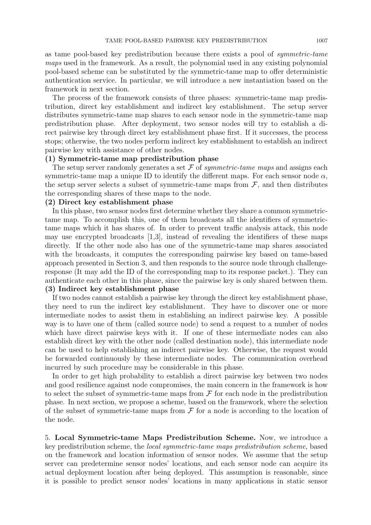as tame pool-based key predistribution because there exists a pool of *symmetric-tame maps* used in the framework. As a result, the polynomial used in any existing polynomial pool-based scheme can be substituted by the symmetric-tame map to offer deterministic authentication service. In particular, we will introduce a new instantiation based on the framework in next section.

The process of the framework consists of three phases: symmetric-tame map predistribution, direct key establishment and indirect key establishment. The setup server distributes symmetric-tame map shares to each sensor node in the symmetric-tame map predistribution phase. After deployment, two sensor nodes will try to establish a direct pairwise key through direct key establishment phase first. If it successes, the process stops; otherwise, the two nodes perform indirect key establishment to establish an indirect pairwise key with assistance of other nodes.

## **(1) Symmetric-tame map predistribution phase**

The setup server randomly generates a set *F* of *symmetric-tame maps* and assigns each symmetric-tame map a unique ID to identify the different maps. For each sensor node  $\alpha$ , the setup server selects a subset of symmetric-tame maps from  $F$ , and then distributes the corresponding shares of these maps to the node.

# **(2) Direct key establishment phase**

In this phase, two sensor nodes first determine whether they share a common symmetrictame map. To accomplish this, one of them broadcasts all the identifiers of symmetrictame maps which it has shares of. In order to prevent traffic analysis attack, this node may use encrypted broadcasts [1,3], instead of revealing the identifiers of these maps directly. If the other node also has one of the symmetric-tame map shares associated with the broadcasts, it computes the corresponding pairwise key based on tame-based approach presented in Section 3, and then responds to the source node through challengeresponse (It may add the ID of the corresponding map to its response packet.). They can authenticate each other in this phase, since the pairwise key is only shared between them. **(3) Indirect key establishment phase**

If two nodes cannot establish a pairwise key through the direct key establishment phase, they need to run the indirect key establishment. They have to discover one or more intermediate nodes to assist them in establishing an indirect pairwise key. A possible way is to have one of them (called source node) to send a request to a number of nodes which have direct pairwise keys with it. If one of these intermediate nodes can also establish direct key with the other node (called destination node), this intermediate node can be used to help establishing an indirect pairwise key. Otherwise, the request would be forwarded continuously by these intermediate nodes. The communication overhead incurred by such procedure may be considerable in this phase.

In order to get high probability to establish a direct pairwise key between two nodes and good resilience against node compromises, the main concern in the framework is how to select the subset of symmetric-tame maps from *F* for each node in the predistribution phase. In next section, we propose a scheme, based on the framework, where the selection of the subset of symmetric-tame maps from  $\mathcal F$  for a node is according to the location of the node.

5. **Local Symmetric-tame Maps Predistribution Scheme.** Now, we introduce a key predistribution scheme, the *local symmetric-tame maps predistribution scheme*, based on the framework and location information of sensor nodes. We assume that the setup server can predetermine sensor nodes' locations, and each sensor node can acquire its actual deployment location after being deployed. This assumption is reasonable, since it is possible to predict sensor nodes' locations in many applications in static sensor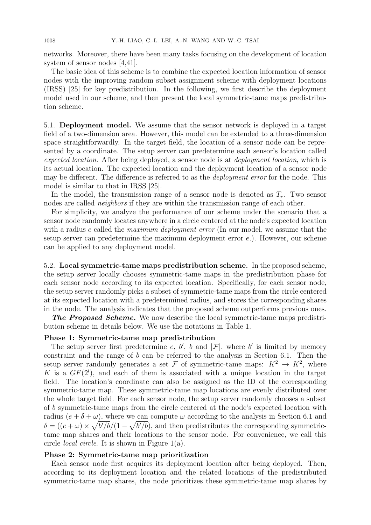networks. Moreover, there have been many tasks focusing on the development of location system of sensor nodes [4,41].

The basic idea of this scheme is to combine the expected location information of sensor nodes with the improving random subset assignment scheme with deployment locations (IRSS) [25] for key predistribution. In the following, we first describe the deployment model used in our scheme, and then present the local symmetric-tame maps predistribution scheme.

5.1. **Deployment model.** We assume that the sensor network is deployed in a target field of a two-dimension area. However, this model can be extended to a three-dimension space straightforwardly. In the target field, the location of a sensor node can be represented by a coordinate. The setup server can predetermine each sensor's location called *expected location*. After being deployed, a sensor node is at *deployment location*, which is its actual location. The expected location and the deployment location of a sensor node may be different. The difference is referred to as the *deployment error* for the node. This model is similar to that in IRSS [25].

In the model, the transmission range of a sensor node is denoted as  $T_r$ . Two sensor nodes are called *neighbors* if they are within the transmission range of each other.

For simplicity, we analyze the performance of our scheme under the scenario that a sensor node randomly locates anywhere in a circle centered at the node's expected location with a radius *e* called the *maximum deployment error* (In our model, we assume that the setup server can predetermine the maximum deployment error *e*.). However, our scheme can be applied to any deployment model.

5.2. **Local symmetric-tame maps predistribution scheme.** In the proposed scheme, the setup server locally chooses symmetric-tame maps in the predistribution phase for each sensor node according to its expected location. Specifically, for each sensor node, the setup server randomly picks a subset of symmetric-tame maps from the circle centered at its expected location with a predetermined radius, and stores the corresponding shares in the node. The analysis indicates that the proposed scheme outperforms previous ones.

*The Proposed Scheme.* We now describe the local symmetric-tame maps predistribution scheme in details below. We use the notations in Table 1.

## **Phase 1: Symmetric-tame map predistribution**

The setup server first predetermine *e*, *b*<sup>'</sup>, *b* and  $|\mathcal{F}|$ , where *b*<sup>'</sup> is limited by memory constraint and the range of *b* can be referred to the analysis in Section 6.1. Then the setup server randomly generates a set  $\mathcal F$  of symmetric-tame maps:  $K^2 \to K^2$ , where K is a  $GF(2^l)$ , and each of them is associated with a unique location in the target field. The location's coordinate can also be assigned as the ID of the corresponding symmetric-tame map. These symmetric-tame map locations are evenly distributed over the whole target field. For each sensor node, the setup server randomly chooses a subset of *b* symmetric-tame maps from the circle centered at the node's expected location with radius  $(e + \delta + \omega)$ , where we can compute  $\omega$  according to the analysis in Section 6.1 and  $\delta = ((e + \omega) \times \sqrt{b'/b}/(1 - \sqrt{b'/b})$ , and then predistributes the corresponding symmetrictame map shares and their locations to the sensor node. For convenience, we call this circle *local circle*. It is shown in Figure 1(a).

# **Phase 2: Symmetric-tame map prioritization**

Each sensor node first acquires its deployment location after being deployed. Then, according to its deployment location and the related locations of the predistributed symmetric-tame map shares, the node prioritizes these symmetric-tame map shares by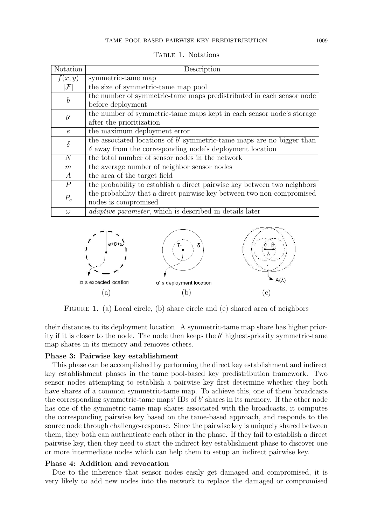| Notation         | Description                                                              |
|------------------|--------------------------------------------------------------------------|
| f(x,y)           | symmetric-tame map                                                       |
| $\mathcal F$     | the size of symmetric-tame map pool                                      |
| $\boldsymbol{b}$ | the number of symmetric-tame maps predistributed in each sensor node     |
|                  | before deployment                                                        |
| $b^{\prime}$     | the number of symmetric-tame maps kept in each sensor node's storage     |
|                  | after the prioritization                                                 |
| $\epsilon$       | the maximum deployment error                                             |
| $\delta$         | the associated locations of $b'$ symmetric-tame maps are no bigger than  |
|                  | $\delta$ away from the corresponding node's deployment location          |
| $\overline{N}$   | the total number of sensor nodes in the network                          |
| m                | the average number of neighbor sensor nodes                              |
| $\overline{A}$   | the area of the target field                                             |
| $\boldsymbol{P}$ | the probability to establish a direct pairwise key between two neighbors |
| $P_c$            | the probability that a direct pairwise key between two non-compromised   |
|                  | nodes is compromised                                                     |
| $\omega$         | <i>adaptive parameter</i> , which is described in details later          |

TABLE 1. Notations



FIGURE 1. (a) Local circle, (b) share circle and (c) shared area of neighbors

their distances to its deployment location. A symmetric-tame map share has higher priority if it is closer to the node. The node then keeps the *b ′* highest-priority symmetric-tame map shares in its memory and removes others.

## **Phase 3: Pairwise key establishment**

This phase can be accomplished by performing the direct key establishment and indirect key establishment phases in the tame pool-based key predistribution framework. Two sensor nodes attempting to establish a pairwise key first determine whether they both have shares of a common symmetric-tame map. To achieve this, one of them broadcasts the corresponding symmetric-tame maps' IDs of *b ′* shares in its memory. If the other node has one of the symmetric-tame map shares associated with the broadcasts, it computes the corresponding pairwise key based on the tame-based approach, and responds to the source node through challenge-response. Since the pairwise key is uniquely shared between them, they both can authenticate each other in the phase. If they fail to establish a direct pairwise key, then they need to start the indirect key establishment phase to discover one or more intermediate nodes which can help them to setup an indirect pairwise key.

# **Phase 4: Addition and revocation**

Due to the inherence that sensor nodes easily get damaged and compromised, it is very likely to add new nodes into the network to replace the damaged or compromised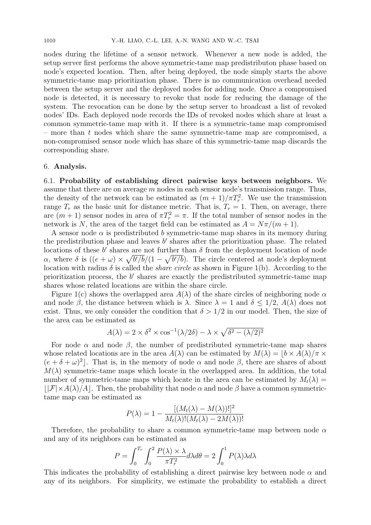nodes during the lifetime of a sensor network. Whenever a new node is added, the setup server first performs the above symmetric-tame map predistributon phase based on node's expected location. Then, after being deployed, the node simply starts the above symmetric-tame map prioritization phase. There is no communication overhead needed between the setup server and the deployed nodes for adding node. Once a compromised node is detected, it is necessary to revoke that node for reducing the damage of the system. The revocation can be done by the setup server to broadcast a list of revoked nodes' IDs. Each deployed node records the IDs of revoked nodes which share at least a common symmetric-tame map with it. If there is a symmetric-tame map compromised – more than *t* nodes which share the same symmetric-tame map are compromised, a non-compromised sensor node which has share of this symmetric-tame map discards the corresponding share.

## 6. **Analysis.**

6.1. **Probability of establishing direct pairwise keys between neighbors.** We assume that there are on average *m* nodes in each sensor node's transmission range. Thus, the density of the network can be estimated as  $(m+1)/\pi T_r^2$ . We use the transmission range  $T_r$  as the basic unit for distance metric. That is,  $T_r = 1$ . Then, on average, there are  $(m+1)$  sensor nodes in area of  $\pi T_r^2 = \pi$ . If the total number of sensor nodes in the network is *N*, the area of the target field can be estimated as  $A = N\pi/(m+1)$ .

A sensor node  $\alpha$  is predistributed  $b$  symmetric-tame map shares in its memory during the predistribution phase and leaves *b ′* shares after the prioritization phase. The related locations of these *b'* shares are not further than  $\delta$  from the deployment location of node *α*, where *δ* is  $((e + \omega) \times \sqrt{b'/b}/(1 - \sqrt{b'/b})$ . The circle centered at node's deployment location with radius  $\delta$  is called the *share circle* as shown in Figure 1(b). According to the prioritization process, the *b'* shares are exactly the predistributed symmetric-tame map shares whose related locations are within the share circle.

Figure 1(c) shows the overlapped area *A*(*λ*) of the share circles of neighboring node *α* and node  $\beta$ , the distance between which is  $\lambda$ . Since  $\lambda = 1$  and  $\delta \leq 1/2$ ,  $A(\lambda)$  does not exist. Thus, we only consider the condition that  $\delta > 1/2$  in our model. Then, the size of the area can be estimated as

$$
A(\lambda) = 2 \times \delta^2 \times \cos^{-1}(\lambda/2\delta) - \lambda \times \sqrt{\delta^2 - (\lambda/2)^2}
$$

For node  $\alpha$  and node  $\beta$ , the number of predistributed symmetric-tame map shares whose related locations are in the area  $A(\lambda)$  can be estimated by  $M(\lambda) = |b \times A(\lambda)/\pi \times$  $(e + \delta + \omega)^2$ . That is, in the memory of node  $\alpha$  and node  $\beta$ , there are shares of about  $M(\lambda)$  symmetric-tame maps which locate in the overlapped area. In addition, the total number of symmetric-tame maps which locate in the area can be estimated by  $M_t(\lambda)$  $|\mathcal{F}| \times A(\lambda)/A|$ . Then, the probability that node  $\alpha$  and node  $\beta$  have a common symmetrictame map can be estimated as

$$
P(\lambda) = 1 - \frac{[(M_t(\lambda) - M(\lambda))!]^2}{M_t(\lambda)!(M_t(\lambda) - 2M(\lambda))!}
$$

Therefore, the probability to share a common symmetric-tame map between node *α* and any of its neighbors can be estimated as

$$
P = \int_0^{T_r} \int_0^2 \frac{P(\lambda) \times \lambda}{\pi T_r^2} d\lambda d\theta = 2 \int_0^1 P(\lambda) \lambda d\lambda
$$

This indicates the probability of establishing a direct pairwise key between node *α* and any of its neighbors. For simplicity, we estimate the probability to establish a direct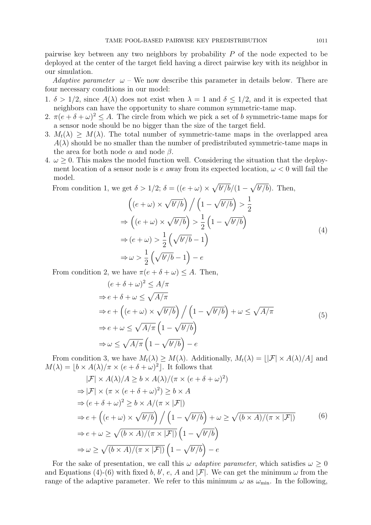pairwise key between any two neighbors by probability *P* of the node expected to be deployed at the center of the target field having a direct pairwise key with its neighbor in our simulation.

*Adaptive parameter*  $\omega$  – We now describe this parameter in details below. There are four necessary conditions in our model:

- 1.  $\delta > 1/2$ , since  $A(\lambda)$  does not exist when  $\lambda = 1$  and  $\delta \leq 1/2$ , and it is expected that neighbors can have the opportunity to share common symmetric-tame map.
- 2.  $\pi(e+\delta+\omega)^2 \leq A$ . The circle from which we pick a set of *b* symmetric-tame maps for a sensor node should be no bigger than the size of the target field.
- 3.  $M_t(\lambda) > M(\lambda)$ . The total number of symmetric-tame maps in the overlapped area  $A(\lambda)$  should be no smaller than the number of predistributed symmetric-tame maps in the area for both node  $\alpha$  and node  $\beta$ .
- 4.  $\omega > 0$ . This makes the model function well. Considering the situation that the deployment location of a sensor node is  $e$  away from its expected location,  $\omega < 0$  will fail the model.

From condition 1, we get  $\delta > 1/2$ ;  $\delta = ((e + \omega) \times \sqrt{b'/b}/(1 - \sqrt{b'/b})$ . Then,  $\left( (e + \omega) \times \sqrt{b'/b} \right) / \left( 1 - \sqrt{b'/b} \right)$ 1 2 *⇒*  $((e + \omega) \times \sqrt{b'/b})$ 1 2  $\left(1-\sqrt{b'/b}\right)$ *⇒* (*e* + *ω*) *>* 1 2  $(\sqrt{b^{\prime}/b} - 1)$ *⇒ ω >* 1 2  $(\sqrt{b'/b} - 1) - e$ (4)

From condition 2, we have  $\pi(e + \delta + \omega) \leq A$ . Then,

$$
(e + \delta + \omega)^2 \le A/\pi
$$
  
\n
$$
\Rightarrow e + \delta + \omega \le \sqrt{A/\pi}
$$
  
\n
$$
\Rightarrow e + ((e + \omega) \times \sqrt{b'/b}) / (1 - \sqrt{b'/b}) + \omega \le \sqrt{A/\pi}
$$
  
\n
$$
\Rightarrow e + \omega \le \sqrt{A/\pi} (1 - \sqrt{b'/b})
$$
  
\n
$$
\Rightarrow \omega \le \sqrt{A/\pi} (1 - \sqrt{b'/b}) - e
$$
\n(5)

From condition 3, we have  $M_t(\lambda) \geq M(\lambda)$ . Additionally,  $M_t(\lambda) = |F| \times A(\lambda)/A|$  and  $M(\lambda) = \lfloor b \times A(\lambda)/\pi \times (e + \delta + \omega)^2 \rfloor$ . It follows that

$$
|\mathcal{F}| \times A(\lambda)/A \ge b \times A(\lambda)/(\pi \times (e + \delta + \omega)^2)
$$
  
\n
$$
\Rightarrow |\mathcal{F}| \times (\pi \times (e + \delta + \omega)^2) \ge b \times A
$$
  
\n
$$
\Rightarrow (e + \delta + \omega)^2 \ge b \times A/(\pi \times |\mathcal{F}|)
$$
  
\n
$$
\Rightarrow e + ((e + \omega) \times \sqrt{b'/b}) / (1 - \sqrt{b'/b}) + \omega \ge \sqrt{(b \times A)/(\pi \times |\mathcal{F}|)}
$$
  
\n
$$
\Rightarrow e + \omega \ge \sqrt{(b \times A)/(\pi \times |\mathcal{F}|)} (1 - \sqrt{b'/b})
$$
  
\n
$$
\Rightarrow \omega \ge \sqrt{(b \times A)/(\pi \times |\mathcal{F}|)} (1 - \sqrt{b'/b}) - e
$$
  
\n(6)

For the sake of presentation, we call this  $\omega$  *adaptive parameter*, which satisfies  $\omega > 0$ and Equations (4)-(6) with fixed *b*, *b*', *e*, *A* and  $|\mathcal{F}|$ . We can get the minimum  $\omega$  from the range of the adaptive parameter. We refer to this minimum  $\omega$  as  $\omega_{\text{min}}$ . In the following,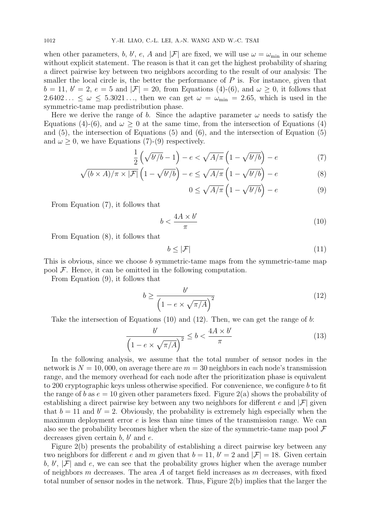when other parameters, *b*, *b'*, *e*, *A* and  $|\mathcal{F}|$  are fixed, we will use  $\omega = \omega_{\min}$  in our scheme without explicit statement. The reason is that it can get the highest probability of sharing a direct pairwise key between two neighbors according to the result of our analysis: The smaller the local circle is, the better the performance of *P* is. For instance, given that  $b = 11, b' = 2, e = 5$  and  $|\mathcal{F}| = 20$ , from Equations (4)-(6), and  $\omega \ge 0$ , it follows that  $2.6402... \leq \omega \leq 5.3021...$ , then we can get  $\omega = \omega_{\min} = 2.65$ , which is used in the symmetric-tame map predistribution phase.

Here we derive the range of *b*. Since the adaptive parameter  $\omega$  needs to satisfy the Equations (4)-(6), and  $\omega > 0$  at the same time, from the intersection of Equations (4) and (5), the intersection of Equations (5) and (6), and the intersection of Equation (5) and  $\omega > 0$ , we have Equations (7)-(9) respectively.

$$
\frac{1}{2}\left(\sqrt{b'/b} - 1\right) - e < \sqrt{A/\pi}\left(1 - \sqrt{b'/b}\right) - e\tag{7}
$$

$$
\sqrt{(b \times A)/\pi \times |\mathcal{F}|} \left(1 - \sqrt{b'/b}\right) - e \le \sqrt{A/\pi} \left(1 - \sqrt{b'/b}\right) - e \tag{8}
$$

$$
0 \le \sqrt{A/\pi} \left( 1 - \sqrt{b'/b} \right) - e \tag{9}
$$

From Equation (7), it follows that

$$
b < \frac{4A \times b'}{\pi} \tag{10}
$$

From Equation (8), it follows that

$$
b \le |\mathcal{F}| \tag{11}
$$

This is obvious, since we choose *b* symmetric-tame maps from the symmetric-tame map pool *F*. Hence, it can be omitted in the following computation.

From Equation (9), it follows that

$$
b \ge \frac{b'}{\left(1 - e \times \sqrt{\pi/A}\right)^2} \tag{12}
$$

Take the intersection of Equations (10) and (12). Then, we can get the range of *b*:

$$
\frac{b'}{\left(1 - e \times \sqrt{\pi/A}\right)^2} \le b < \frac{4A \times b'}{\pi} \tag{13}
$$

In the following analysis, we assume that the total number of sensor nodes in the network is  $N = 10,000$ , on average there are  $m = 30$  neighbors in each node's transmission range, and the memory overhead for each node after the prioritization phase is equivalent to 200 cryptographic keys unless otherwise specified. For convenience, we configure *b* to fit the range of *b* as  $e = 10$  given other parameters fixed. Figure 2(a) shows the probability of establishing a direct pairwise key between any two neighbors for different *e* and  $|\mathcal{F}|$  given that  $b = 11$  and  $b' = 2$ . Obviously, the probability is extremely high especially when the maximum deployment error *e* is less than nine times of the transmission range. We can also see the probability becomes higher when the size of the symmetric-tame map pool *F* decreases given certain *b*, *b ′* and *e*.

Figure 2(b) presents the probability of establishing a direct pairwise key between any two neighbors for different *e* and *m* given that  $b = 11$ ,  $b' = 2$  and  $|\mathcal{F}| = 18$ . Given certain  $\mathbf{b}, \mathbf{b}', |\mathcal{F}|$  and  $\mathbf{e},$  we can see that the probability grows higher when the average number of neighbors *m* decreases. The area *A* of target field increases as *m* decreases, with fixed total number of sensor nodes in the network. Thus, Figure 2(b) implies that the larger the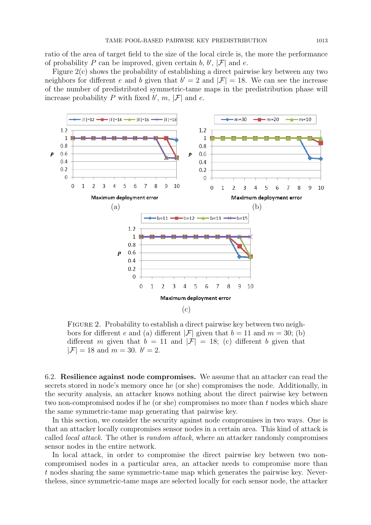ratio of the area of target field to the size of the local circle is, the more the performance of probability *P* can be improved, given certain *b*,  $b'$ ,  $|\mathcal{F}|$  and *e*.

Figure 2(c) shows the probability of establishing a direct pairwise key between any two neighbors for different *e* and *b* given that  $b' = 2$  and  $|\mathcal{F}| = 18$ . We can see the increase of the number of predistributed symmetric-tame maps in the predistribution phase will increase probability  $P$  with fixed  $b'$ ,  $m$ ,  $|\mathcal{F}|$  and  $e$ .



Figure 2. Probability to establish a direct pairwise key between two neighbors for different *e* and (a) different  $|\mathcal{F}|$  given that  $b = 11$  and  $m = 30$ ; (b) different *m* given that  $b = 11$  and  $|\mathcal{F}| = 18$ ; (c) different *b* given that  $|\mathcal{F}| = 18$  and  $m = 30$ .  $b' = 2$ .

6.2. **Resilience against node compromises.** We assume that an attacker can read the secrets stored in node's memory once he (or she) compromises the node. Additionally, in the security analysis, an attacker knows nothing about the direct pairwise key between two non-compromised nodes if he (or she) compromises no more than *t* nodes which share the same symmetric-tame map generating that pairwise key.

In this section, we consider the security against node compromises in two ways. One is that an attacker locally compromises sensor nodes in a certain area. This kind of attack is called *local attack*. The other is *random attack*, where an attacker randomly compromises sensor nodes in the entire network.

In local attack, in order to compromise the direct pairwise key between two noncompromised nodes in a particular area, an attacker needs to compromise more than *t* nodes sharing the same symmetric-tame map which generates the pairwise key. Nevertheless, since symmetric-tame maps are selected locally for each sensor node, the attacker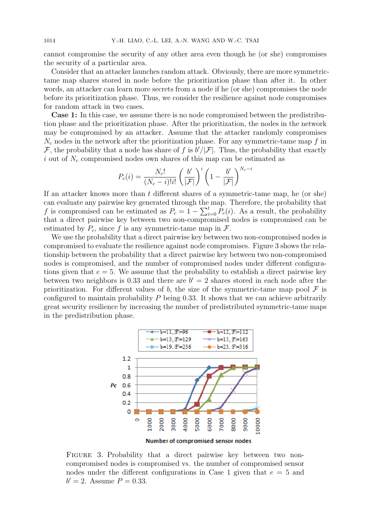cannot compromise the security of any other area even though he (or she) compromises the security of a particular area.

Consider that an attacker launches random attack. Obviously, there are more symmetrictame map shares stored in node before the prioritization phase than after it. In other words, an attacker can learn more secrets from a node if he (or she) compromises the node before its prioritization phase. Thus, we consider the resilience against node compromises for random attack in two cases.

**Case 1:** In this case, we assume there is no node compromised between the predistribution phase and the prioritization phase. After the prioritization, the nodes in the network may be compromised by an attacker. Assume that the attacker randomly compromises *N<sup>c</sup>* nodes in the network after the prioritization phase. For any symmetric-tame map *f* in *F*, the probability that a node has share of *f* is  $b'/|F|$ . Thus, the probability that exactly *i* out of *N<sup>c</sup>* compromised nodes own shares of this map can be estimated as

$$
P_c(i) = \frac{N_c!}{(N_c - i)!i!} \left(\frac{b'}{|\mathcal{F}|}\right)^i \left(1 - \frac{b'}{|\mathcal{F}|}\right)^{N_c - i}
$$

If an attacker knows more than *t* different shares of a symmetric-tame map, he (or she) can evaluate any pairwise key generated through the map. Therefore, the probability that *f* is compromised can be estimated as  $P_c = 1 - \sum_{i=0}^{t} P_c(i)$ . As a result, the probability that a direct pairwise key between two non-compromised nodes is compromised can be estimated by  $P_c$ , since f is any symmetric-tame map in  $\mathcal{F}$ .

We use the probability that a direct pairwise key between two non-compromised nodes is compromised to evaluate the resilience against node compromises. Figure 3 shows the relationship between the probability that a direct pairwise key between two non-compromised nodes is compromised, and the number of compromised nodes under different configurations given that  $e = 5$ . We assume that the probability to establish a direct pairwise key between two neighbors is 0.33 and there are  $b' = 2$  shares stored in each node after the prioritization. For different values of  $b$ , the size of the symmetric-tame map pool  $\mathcal F$  is configured to maintain probability *P* being 0.33. It shows that we can achieve arbitrarily great security resilience by increasing the number of predistributed symmetric-tame maps in the predistribution phase.



FIGURE 3. Probability that a direct pairwise key between two noncompromised nodes is compromised vs. the number of compromised sensor nodes under the different configurations in Case 1 given that *e* = 5 and  $b' = 2$ . Assume  $P = 0.33$ .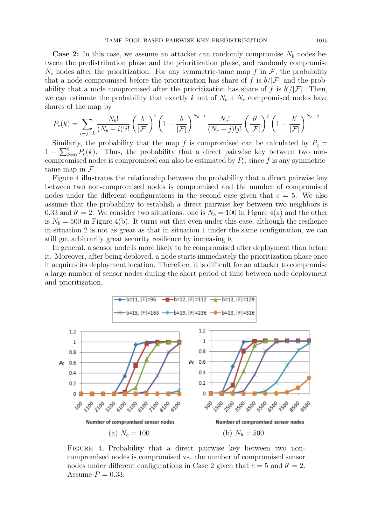**Case 2:** In this case, we assume an attacker can randomly compromise  $N_b$  nodes between the predistribution phase and the prioritization phase, and randomly compromise  $N_c$  nodes after the prioritization. For any symmetric-tame map  $f$  in  $\mathcal{F}$ , the probability that a node compromised before the prioritization has share of f is  $b/|\mathcal{F}|$  and the probability that a node compromised after the prioritization has share of *f* is  $b'/|\mathcal{F}|$ . Then, we can estimate the probability that exactly *k* out of  $N_b + N_c$  compromised nodes have shares of the map by

$$
P_c(k) = \sum_{i+j=k} \frac{N_b!}{(N_b-i)!i!} \left(\frac{b}{|\mathcal{F}|}\right)^i \left(1 - \frac{b}{|\mathcal{F}|}\right)^{N_b-i} \frac{N_c!}{(N_c-j)!j!} \left(\frac{b'}{|\mathcal{F}|}\right)^j \left(1 - \frac{b'}{|\mathcal{F}|}\right)^{N_c-j}
$$

Similarly, the probability that the map f is compromised can be calculated by  $P_c =$  $1 - \sum_{k=0}^{t} P_c(k)$ . Thus, the probability that a direct pairwise key between two noncompromised nodes is compromised can also be estimated by  $P_c$ , since  $f$  is any symmetrictame map in *F*.

Figure 4 illustrates the relationship between the probability that a direct pairwise key between two non-compromised nodes is compromised and the number of compromised nodes under the different configurations in the second case given that  $e = 5$ . We also assume that the probability to establish a direct pairwise key between two neighbors is 0.33 and  $b' = 2$ . We consider two situations: one is  $N_b = 100$  in Figure 4(a) and the other is  $N_b = 500$  in Figure 4(b). It turns out that even under this case, although the resilience in situation 2 is not as great as that in situation 1 under the same configuration, we can still get arbitrarily great security resilience by increasing *b*.

In general, a sensor node is more likely to be compromised after deployment than before it. Moreover, after being deployed, a node starts immediately the prioritization phase once it acquires its deployment location. Therefore, it is difficult for an attacker to compromise a large number of sensor nodes during the short period of time between node deployment and prioritization.



FIGURE 4. Probability that a direct pairwise key between two noncompromised nodes is compromised vs. the number of compromised sensor nodes under different configurations in Case 2 given that  $e = 5$  and  $b' = 2$ . Assume  $P = 0.33$ .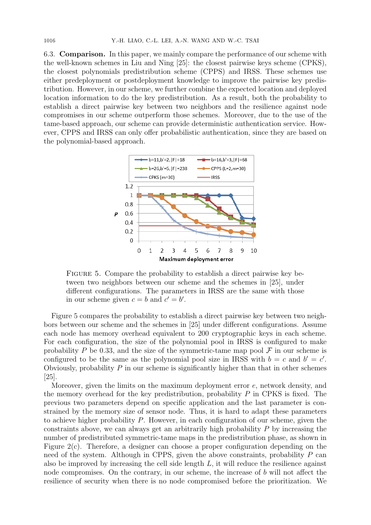6.3. **Comparison.** In this paper, we mainly compare the performance of our scheme with the well-known schemes in Liu and Ning [25]: the closest pairwise keys scheme (CPKS), the closest polynomials predistribution scheme (CPPS) and IRSS. These schemes use either predeployment or postdeployment knowledge to improve the pairwise key predistribution. However, in our scheme, we further combine the expected location and deployed location information to do the key predistribution. As a result, both the probability to establish a direct pairwise key between two neighbors and the resilience against node compromises in our scheme outperform those schemes. Moreover, due to the use of the tame-based approach, our scheme can provide deterministic authentication service. However, CPPS and IRSS can only offer probabilistic authentication, since they are based on the polynomial-based approach.



Figure 5. Compare the probability to establish a direct pairwise key between two neighbors between our scheme and the schemes in [25], under different configurations. The parameters in IRSS are the same with those in our scheme given  $c = b$  and  $c' = b'$ .

Figure 5 compares the probability to establish a direct pairwise key between two neighbors between our scheme and the schemes in [25] under different configurations. Assume each node has memory overhead equivalent to 200 cryptographic keys in each scheme. For each configuration, the size of the polynomial pool in IRSS is configured to make probability *P* be 0.33, and the size of the symmetric-tame map pool  $\mathcal F$  in our scheme is configured to be the same as the polynomial pool size in IRSS with  $b = c$  and  $b' = c'$ . Obviously, probability *P* in our scheme is significantly higher than that in other schemes [25].

Moreover, given the limits on the maximum deployment error *e*, network density, and the memory overhead for the key predistribution, probability *P* in CPKS is fixed. The previous two parameters depend on specific application and the last parameter is constrained by the memory size of sensor node. Thus, it is hard to adapt these parameters to achieve higher probability *P*. However, in each configuration of our scheme, given the constraints above, we can always get an arbitrarily high probability *P* by increasing the number of predistributed symmetric-tame maps in the predistribution phase, as shown in Figure 2(c). Therefore, a designer can choose a proper configuration depending on the need of the system. Although in CPPS, given the above constraints, probability *P* can also be improved by increasing the cell side length *L*, it will reduce the resilience against node compromises. On the contrary, in our scheme, the increase of *b* will not affect the resilience of security when there is no node compromised before the prioritization. We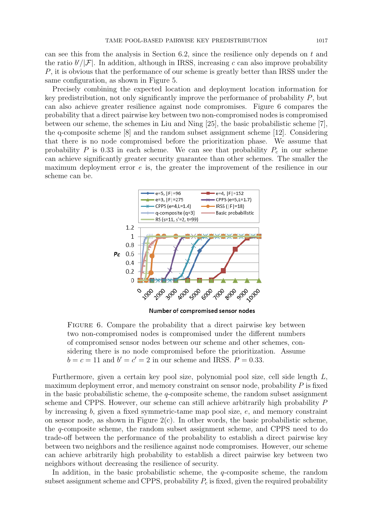can see this from the analysis in Section 6.2, since the resilience only depends on *t* and the ratio  $b'/|\mathcal{F}|$ . In addition, although in IRSS, increasing *c* can also improve probability *P*, it is obvious that the performance of our scheme is greatly better than IRSS under the same configuration, as shown in Figure 5.

Precisely combining the expected location and deployment location information for key predistribution, not only significantly improve the performance of probability *P*, but can also achieve greater resilience against node compromises. Figure 6 compares the probability that a direct pairwise key between two non-compromised nodes is compromised between our scheme, the schemes in Liu and Ning [25], the basic probabilistic scheme [7], the q-composite scheme [8] and the random subset assignment scheme [12]. Considering that there is no node compromised before the prioritization phase. We assume that probability *P* is 0.33 in each scheme. We can see that probability  $P_c$  in our scheme can achieve significantly greater security guarantee than other schemes. The smaller the maximum deployment error *e* is, the greater the improvement of the resilience in our scheme can be.



Number of compromised sensor nodes

FIGURE 6. Compare the probability that a direct pairwise key between two non-compromised nodes is compromised under the different numbers of compromised sensor nodes between our scheme and other schemes, considering there is no node compromised before the prioritization. Assume  $b = c = 11$  and  $b' = c' = 2$  in our scheme and IRSS.  $P = 0.33$ .

Furthermore, given a certain key pool size, polynomial pool size, cell side length *L*, maximum deployment error, and memory constraint on sensor node, probability *P* is fixed in the basic probabilistic scheme, the *q*-composite scheme, the random subset assignment scheme and CPPS. However, our scheme can still achieve arbitrarily high probability *P* by increasing *b*, given a fixed symmetric-tame map pool size, *e*, and memory constraint on sensor node, as shown in Figure  $2(c)$ . In other words, the basic probabilistic scheme, the *q*-composite scheme, the random subset assignment scheme, and CPPS need to do trade-off between the performance of the probability to establish a direct pairwise key between two neighbors and the resilience against node compromises. However, our scheme can achieve arbitrarily high probability to establish a direct pairwise key between two neighbors without decreasing the resilience of security.

In addition, in the basic probabilistic scheme, the *q*-composite scheme, the random subset assignment scheme and CPPS, probability  $P_c$  is fixed, given the required probability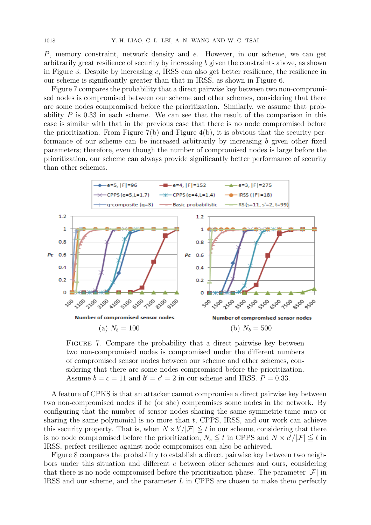*P*, memory constraint, network density and *e*. However, in our scheme, we can get arbitrarily great resilience of security by increasing *b* given the constraints above, as shown in Figure 3. Despite by increasing *c*, IRSS can also get better resilience, the resilience in our scheme is significantly greater than that in IRSS, as shown in Figure 6.

Figure 7 compares the probability that a direct pairwise key between two non-compromised nodes is compromised between our scheme and other schemes, considering that there are some nodes compromised before the prioritization. Similarly, we assume that probability *P* is 0.33 in each scheme. We can see that the result of the comparison in this case is similar with that in the previous case that there is no node compromised before the prioritization. From Figure  $7(b)$  and Figure  $4(b)$ , it is obvious that the security performance of our scheme can be increased arbitrarily by increasing *b* given other fixed parameters; therefore, even though the number of compromised nodes is large before the prioritization, our scheme can always provide significantly better performance of security than other schemes.



Figure 7. Compare the probability that a direct pairwise key between two non-compromised nodes is compromised under the different numbers of compromised sensor nodes between our scheme and other schemes, considering that there are some nodes compromised before the prioritization. Assume  $b = c = 11$  and  $b' = c' = 2$  in our scheme and IRSS.  $P = 0.33$ .

A feature of CPKS is that an attacker cannot compromise a direct pairwise key between two non-compromised nodes if he (or she) compromises some nodes in the network. By configuring that the number of sensor nodes sharing the same symmetric-tame map or sharing the same polynomial is no more than *t*, CPPS, IRSS, and our work can achieve this security property. That is, when  $N \times b'/|\mathcal{F}| \leq t$  in our scheme, considering that there is no node compromised before the prioritization,  $N_s \leq t$  in CPPS and  $N \times c'/|\mathcal{F}| \leq t$  in IRSS, perfect resilience against node compromises can also be achieved.

Figure 8 compares the probability to establish a direct pairwise key between two neighbors under this situation and different *e* between other schemes and ours, considering that there is no node compromised before the prioritization phase. The parameter  $|\mathcal{F}|$  in IRSS and our scheme, and the parameter *L* in CPPS are chosen to make them perfectly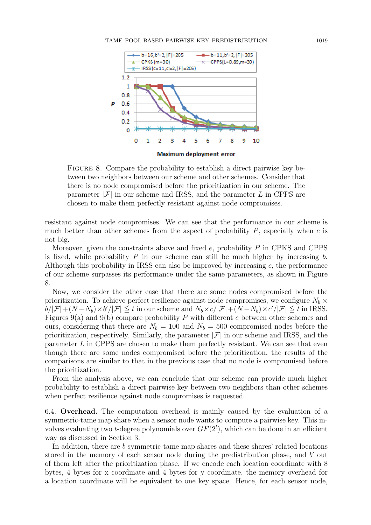#### TAME POOL-BASED PAIRWISE KEY PREDISTRIBUTION 1019



Figure 8. Compare the probability to establish a direct pairwise key between two neighbors between our scheme and other schemes. Consider that there is no node compromised before the prioritization in our scheme. The parameter  $|\mathcal{F}|$  in our scheme and IRSS, and the parameter L in CPPS are chosen to make them perfectly resistant against node compromises.

resistant against node compromises. We can see that the performance in our scheme is much better than other schemes from the aspect of probability *P*, especially when *e* is not big.

Moreover, given the constraints above and fixed *e*, probability *P* in CPKS and CPPS is fixed, while probability *P* in our scheme can still be much higher by increasing *b*. Although this probability in IRSS can also be improved by increasing *c*, the performance of our scheme surpasses its performance under the same parameters, as shown in Figure 8.

Now, we consider the other case that there are some nodes compromised before the prioritization. To achieve perfect resilience against node compromises, we configure  $N_b \times$  $\mathbb{E}[b/|\mathcal{F}| + (N - N_b) \times b'/|\mathcal{F}| \leq t$  in our scheme and  $N_b \times c/|\mathcal{F}| + (N - N_b) \times c'/|\mathcal{F}| \leq t$  in IRSS. Figures 9(a) and 9(b) compare probability *P* with different *e* between other schemes and ours, considering that there are  $N_b = 100$  and  $N_b = 500$  compromised nodes before the prioritization, respectively. Similarly, the parameter  $|\mathcal{F}|$  in our scheme and IRSS, and the parameter *L* in CPPS are chosen to make them perfectly resistant. We can see that even though there are some nodes compromised before the prioritization, the results of the comparisons are similar to that in the previous case that no node is compromised before the prioritization.

From the analysis above, we can conclude that our scheme can provide much higher probability to establish a direct pairwise key between two neighbors than other schemes when perfect resilience against node compromises is requested.

6.4. **Overhead.** The computation overhead is mainly caused by the evaluation of a symmetric-tame map share when a sensor node wants to compute a pairwise key. This involves evaluating two *t*-degree polynomials over  $GF(2<sup>l</sup>)$ , which can be done in an efficient way as discussed in Section 3.

In addition, there are *b* symmetric-tame map shares and these shares' related locations stored in the memory of each sensor node during the predistribution phase, and *b ′* out of them left after the prioritization phase. If we encode each location coordinate with 8 bytes, 4 bytes for x coordinate and 4 bytes for y coordinate, the memory overhead for a location coordinate will be equivalent to one key space. Hence, for each sensor node,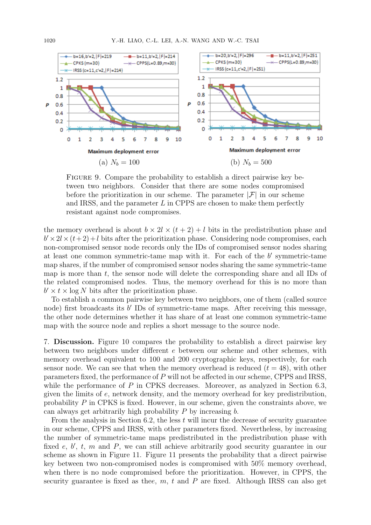

Figure 9. Compare the probability to establish a direct pairwise key between two neighbors. Consider that there are some nodes compromised before the prioritization in our scheme. The parameter  $|\mathcal{F}|$  in our scheme and IRSS, and the parameter *L* in CPPS are chosen to make them perfectly resistant against node compromises.

the memory overhead is about  $b \times 2l \times (t+2) + l$  bits in the predistribution phase and  $b' \times 2l \times (t+2) + l$  bits after the prioritization phase. Considering node compromises, each non-compromised sensor node records only the IDs of compromised sensor nodes sharing at least one common symmetric-tame map with it. For each of the *b ′* symmetric-tame map shares, if the number of compromised sensor nodes sharing the same symmetric-tame map is more than *t*, the sensor node will delete the corresponding share and all IDs of the related compromised nodes. Thus, the memory overhead for this is no more than  $b' \times t \times \log N$  bits after the prioritization phase.

To establish a common pairwise key between two neighbors, one of them (called source node) first broadcasts its *b'* IDs of symmetric-tame maps. After receiving this message, the other node determines whether it has share of at least one common symmetric-tame map with the source node and replies a short message to the source node.

7. **Discussion.** Figure 10 compares the probability to establish a direct pairwise key between two neighbors under different *e* between our scheme and other schemes, with memory overhead equivalent to 100 and 200 cryptographic keys, respectively, for each sensor node. We can see that when the memory overhead is reduced  $(t = 48)$ , with other parameters fixed, the performance of *P* will not be affected in our scheme, CPPS and IRSS, while the performance of *P* in CPKS decreases. Moreover, as analyzed in Section 6.3, given the limits of *e*, network density, and the memory overhead for key predistribution, probability *P* in CPKS is fixed. However, in our scheme, given the constraints above, we can always get arbitrarily high probability *P* by increasing *b*.

From the analysis in Section 6.2, the less *t* will incur the decrease of security guarantee in our scheme, CPPS and IRSS, with other parameters fixed. Nevertheless, by increasing the number of symmetric-tame maps predistributed in the predistribution phase with fixed *e*, *b'*, *t*, *m* and *P*, we can still achieve arbitrarily good security guarantee in our scheme as shown in Figure 11. Figure 11 presents the probability that a direct pairwise key between two non-compromised nodes is compromised with 50% memory overhead, when there is no node compromised before the prioritization. However, in CPPS, the security guarantee is fixed as the*e*, *m*, *t* and *P* are fixed. Although IRSS can also get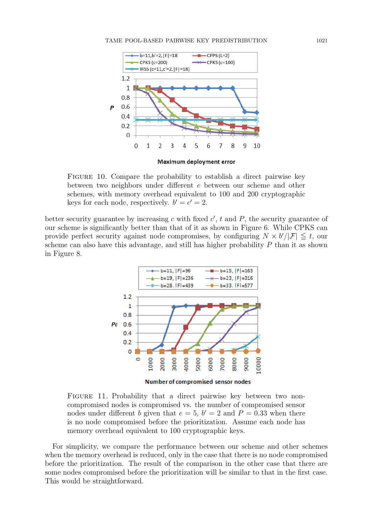

Figure 10. Compare the probability to establish a direct pairwise key between two neighbors under different *e* between our scheme and other schemes, with memory overhead equivalent to 100 and 200 cryptographic keys for each node, respectively.  $b' = c' = 2$ .

better security guarantee by increasing  $c$  with fixed  $c'$ ,  $t$  and  $P$ , the security guarantee of our scheme is significantly better than that of it as shown in Figure 6. While CPKS can provide perfect security against node compromises, by configuring  $N \times b'/|F| \leq t$ , our scheme can also have this advantage, and still has higher probability *P* than it as shown in Figure 8.



FIGURE 11. Probability that a direct pairwise key between two noncompromised nodes is compromised vs. the number of compromised sensor nodes under different *b* given that  $e = 5$ ,  $b' = 2$  and  $P = 0.33$  when there is no node compromised before the prioritization. Assume each node has memory overhead equivalent to 100 cryptographic keys.

For simplicity, we compare the performance between our scheme and other schemes when the memory overhead is reduced, only in the case that there is no node compromised before the prioritization. The result of the comparison in the other case that there are some nodes compromised before the prioritization will be similar to that in the first case. This would be straightforward.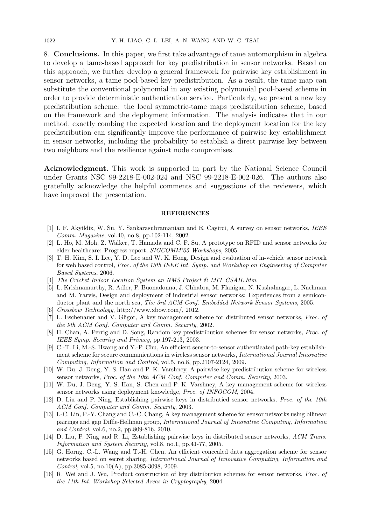8. **Conclusions.** In this paper, we first take advantage of tame automorphism in algebra to develop a tame-based approach for key predistribution in sensor networks. Based on this approach, we further develop a general framework for pairwise key establishment in sensor networks, a tame pool-based key predistribution. As a result, the tame map can substitute the conventional polynomial in any existing polynomial pool-based scheme in order to provide deterministic authentication service. Particularly, we present a new key predistribution scheme: the local symmetric-tame maps predistribution scheme, based on the framework and the deployment information. The analysis indicates that in our method, exactly combing the expected location and the deployment location for the key predistribution can significantly improve the performance of pairwise key establishment in sensor networks, including the probability to establish a direct pairwise key between two neighbors and the resilience against node compromises.

**Acknowledgment.** This work is supported in part by the National Science Council under Grants NSC 99-2218-E-002-024 and NSC 99-2218-E-002-026. The authors also gratefully acknowledge the helpful comments and suggestions of the reviewers, which have improved the presentation.

#### **REFERENCES**

- [1] I. F. Akyildiz, W. Su, Y. Sankarasubramaniam and E. Cayirci, A survey on sensor networks, *IEEE Comm. Magazine*, vol.40, no.8, pp.102-114, 2002.
- [2] L. Ho, M. Moh, Z. Walker, T. Hamada and C. F. Su, A prototype on RFID and sensor networks for elder healthcare: Progress report, *SIGCOMM'05 Workshops*, 2005.
- [3] T. H. Kim, S. I. Lee, Y. D. Lee and W. K. Hong, Design and evaluation of in-vehicle sensor network for web based control, *Proc. of the 13th IEEE Int. Symp. and Workshop on Engineering of Computer Based Systems*, 2006.
- [4] *The Cricket Indoor Location System an NMS Project @ MIT CSAIL.htm*.
- [5] L. Krishnamurthy, R. Adler, P. Buonadonna, J. Chhabra, M. Flanigan, N. Kushalnagar, L. Nachman and M. Yarvis, Design and deployment of industrial sensor networks: Experiences from a semiconductor plant and the north sea, *The 3rd ACM Conf. Embedded Network Sensor Systems*, 2005.
- [6] *Crossbow Technology*, http://www.xbow.com/, 2012.
- [7] L. Eschenauer and V. Gligor, A key management scheme for distributed sensor networks, *Proc. of the 9th ACM Conf. Computer and Comm. Security*, 2002.
- [8] H. Chan, A. Perrig and D. Song, Random key predistribution schemes for sensor networks, *Proc. of IEEE Symp. Security and Privacy*, pp.197-213, 2003.
- [9] C.-T. Li, M.-S. Hwang and Y.-P. Chu, An efficient sensor-to-sensor authenticated path-key establishment scheme for secure communications in wireless sensor networks, *International Journal Innovative Computing, Information and Control*, vol.5, no.8, pp.2107-2124, 2009.
- [10] W. Du, J. Deng, Y. S. Han and P. K. Varshney, A pairwise key predistribution scheme for wireless sensor networks, *Proc. of the 10th ACM Conf. Computer and Comm. Security*, 2003.
- [11] W. Du, J. Deng, Y. S. Han, S. Chen and P. K. Varshney, A key management scheme for wireless sensor networks using deployment knowledge, *Proc. of INFOCOM*, 2004.
- [12] D. Liu and P. Ning, Establishing pairwise keys in distributied sensor networks, *Proc. of the 10th ACM Conf. Computer and Comm. Security*, 2003.
- [13] I.-C. Lin, P.-Y. Chang and C.-C. Chang, A key management scheme for sensor networks using bilinear pairings and gap Diffie-Hellman group, *International Journal of Innovative Computing, Information and Control*, vol.6, no.2, pp.809-816, 2010.
- [14] D. Liu, P. Ning and R. Li, Establishing pairwise keys in distributed sensor networks, *ACM Trans. Information and System Security*, vol.8, no.1, pp.41-77, 2005.
- [15] G. Horng, C.-L. Wang and T.-H. Chen, An efficient concealed data aggregation scheme for sensor networks based on secret sharing, *International Journal of Innovative Computing, Information and Control*, vol.5, no.10(A), pp.3085-3098, 2009.
- [16] R. Wei and J. Wu, Product construction of key distribution schemes for sensor networks, *Proc. of the 11th Int. Workshop Selected Areas in Cryptography*, 2004.